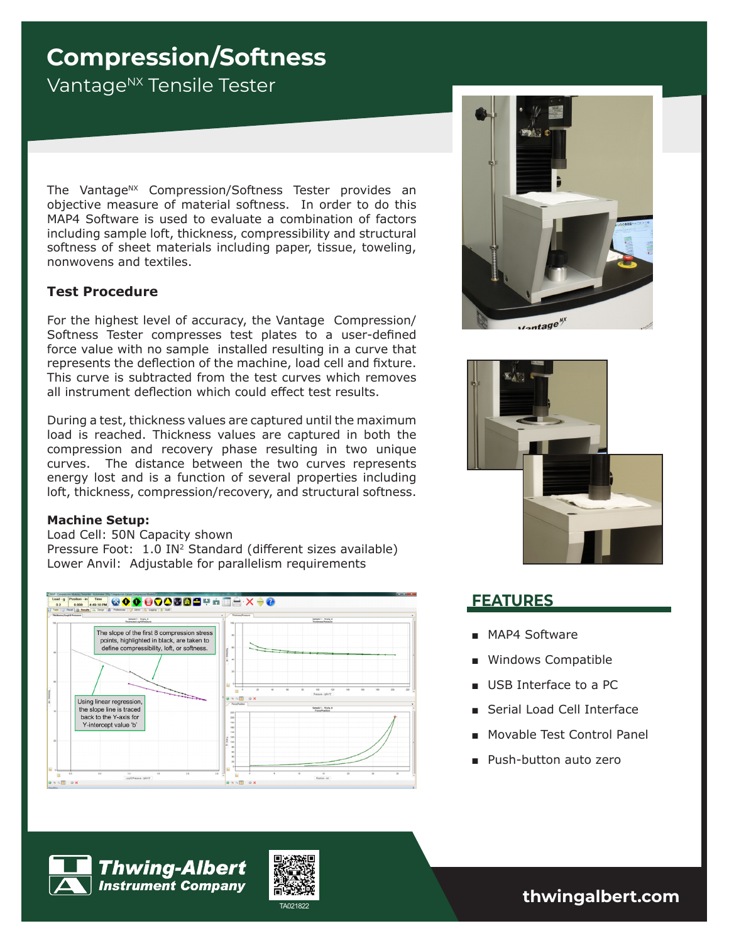# **Compression/Softness**

Vantage<sup>NX</sup> Tensile Tester

The Vantage<sup>NX</sup> Compression/Softness Tester provides an objective measure of material softness. In order to do this MAP4 Software is used to evaluate a combination of factors including sample loft, thickness, compressibility and structural softness of sheet materials including paper, tissue, toweling, nonwovens and textiles.

## **Test Procedure**

For the highest level of accuracy, the Vantage Compression/ Softness Tester compresses test plates to a user-defined force value with no sample installed resulting in a curve that represents the deflection of the machine, load cell and fixture. This curve is subtracted from the test curves which removes all instrument deflection which could effect test results.

During a test, thickness values are captured until the maximum load is reached. Thickness values are captured in both the compression and recovery phase resulting in two unique curves. The distance between the two curves represents energy lost and is a function of several properties including loft, thickness, compression/recovery, and structural softness.

### **Machine Setup:**

Load Cell: 50N Capacity shown Pressure Foot: 1.0 IN<sup>2</sup> Standard (different sizes available) Lower Anvil: Adjustable for parallelism requirements







## **FEATURES**

- MAP4 Software
- Windows Compatible
- USB Interface to a PC
- Serial Load Cell Interface
- Movable Test Control Panel
- Push-button auto zero



**Thwing-Albert Instrument Company** 



TA021822 **thwingalbert.com**